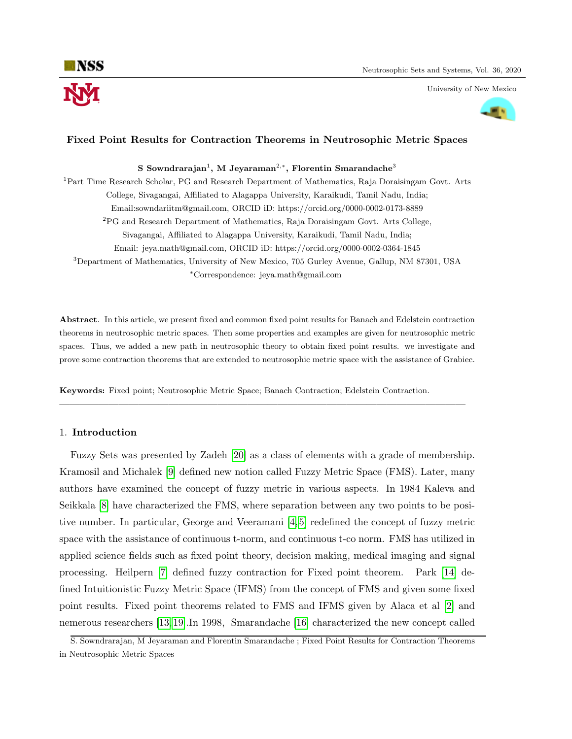University of New Mexico



# Fixed Point Results for Contraction Theorems in Neutrosophic Metric Spaces

 ${\bf S}$  Sowndrarajan $^1,$   ${\bf M}$  Jeyaraman $^{2, *},$  Florentin Smarandache $^3$ 

<sup>1</sup>Part Time Research Scholar, PG and Research Department of Mathematics, Raja Doraisingam Govt. Arts College, Sivagangai, Affiliated to Alagappa University, Karaikudi, Tamil Nadu, India; Email:sowndariitm@gmail.com, ORCID iD: https://orcid.org/0000-0002-0173-8889 <sup>2</sup>PG and Research Department of Mathematics, Raja Doraisingam Govt. Arts College, Sivagangai, Affiliated to Alagappa University, Karaikudi, Tamil Nadu, India; Email: jeya.math@gmail.com, ORCID iD: https://orcid.org/0000-0002-0364-1845 <sup>3</sup>Department of Mathematics, University of New Mexico, 705 Gurley Avenue, Gallup, NM 87301, USA <sup>∗</sup>Correspondence: jeya.math@gmail.com

Abstract. In this article, we present fixed and common fixed point results for Banach and Edelstein contraction theorems in neutrosophic metric spaces. Then some properties and examples are given for neutrosophic metric spaces. Thus, we added a new path in neutrosophic theory to obtain fixed point results. we investigate and prove some contraction theorems that are extended to neutrosophic metric space with the assistance of Grabiec.

—————————————————————————————————————————

Keywords: Fixed point; Neutrosophic Metric Space; Banach Contraction; Edelstein Contraction.

## 1. Introduction

Fuzzy Sets was presented by Zadeh [\[20\]](#page-9-0) as a class of elements with a grade of membership. Kramosil and Michalek [\[9\]](#page-9-1) defined new notion called Fuzzy Metric Space (FMS). Later, many authors have examined the concept of fuzzy metric in various aspects. In 1984 Kaleva and Seikkala [\[8\]](#page-9-2) have characterized the FMS, where separation between any two points to be positive number. In particular, George and Veeramani [\[4,](#page-9-3) [5\]](#page-9-4) redefined the concept of fuzzy metric space with the assistance of continuous t-norm, and continuous t-co norm. FMS has utilized in applied science fields such as fixed point theory, decision making, medical imaging and signal processing. Heilpern [\[7\]](#page-9-5) defined fuzzy contraction for Fixed point theorem. Park [\[14\]](#page-9-6) defined Intuitionistic Fuzzy Metric Space (IFMS) from the concept of FMS and given some fixed point results. Fixed point theorems related to FMS and IFMS given by Alaca et al [\[2\]](#page-9-7) and nemerous researchers [\[13,](#page-9-8) [19\]](#page-9-9).In 1998, Smarandache [\[16\]](#page-9-10) characterized the new concept called

S. Sowndrarajan, M Jeyaraman and Florentin Smarandache ; Fixed Point Results for Contraction Theorems in Neutrosophic Metric Spaces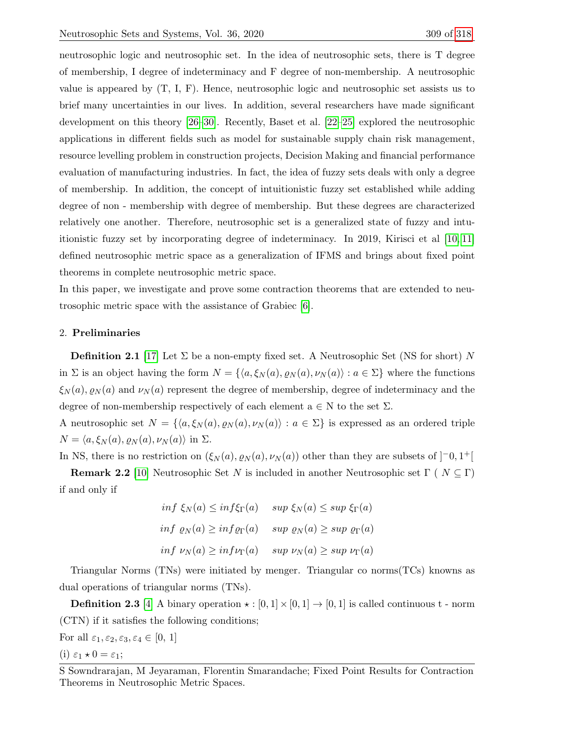neutrosophic logic and neutrosophic set. In the idea of neutrosophic sets, there is T degree of membership, I degree of indeterminacy and F degree of non-membership. A neutrosophic value is appeared by (T, I, F). Hence, neutrosophic logic and neutrosophic set assists us to brief many uncertainties in our lives. In addition, several researchers have made significant development on this theory [\[26–](#page-10-1)[30\]](#page-10-2). Recently, Baset et al. [\[22–](#page-9-11)[25\]](#page-10-3) explored the neutrosophic applications in different fields such as model for sustainable supply chain risk management, resource levelling problem in construction projects, Decision Making and financial performance evaluation of manufacturing industries. In fact, the idea of fuzzy sets deals with only a degree of membership. In addition, the concept of intuitionistic fuzzy set established while adding degree of non - membership with degree of membership. But these degrees are characterized relatively one another. Therefore, neutrosophic set is a generalized state of fuzzy and intuitionistic fuzzy set by incorporating degree of indeterminacy. In 2019, Kirisci et al [\[10,](#page-9-12) [11\]](#page-9-13) defined neutrosophic metric space as a generalization of IFMS and brings about fixed point theorems in complete neutrosophic metric space.

In this paper, we investigate and prove some contraction theorems that are extended to neutrosophic metric space with the assistance of Grabiec [\[6\]](#page-9-14).

## 2. Preliminaries

**Definition 2.1** [\[17\]](#page-9-15) Let  $\Sigma$  be a non-empty fixed set. A Neutrosophic Set (NS for short) N in  $\Sigma$  is an object having the form  $N = \{ \langle a, \xi_N (a), \varrho_N (a), \nu_N (a) \rangle : a \in \Sigma \}$  where the functions  $\xi_N(a), \varrho_N(a)$  and  $\nu_N(a)$  represent the degree of membership, degree of indeterminacy and the degree of non-membership respectively of each element  $a \in N$  to the set  $\Sigma$ .

A neutrosophic set  $N = \{ \langle a, \xi_N(a), \varrho_N(a), \nu_N(a) \rangle : a \in \Sigma \}$  is expressed as an ordered triple  $N = \langle a, \xi_N(a), \varrho_N(a), \nu_N(a) \rangle$  in  $\Sigma$ .

In NS, there is no restriction on  $(\xi_N(a), \varrho_N(a), \nu_N(a))$  other than they are subsets of  $]$ <sup>-</sup>0, 1<sup>+</sup>[

**Remark 2.2** [\[10\]](#page-9-12) Neutrosophic Set N is included in another Neutrosophic set  $\Gamma$  ( $N \subseteq \Gamma$ ) if and only if

> inf  $\xi_N(a) \leq inf \xi_\Gamma(a)$  sup  $\xi_N(a) \leq sup \xi_\Gamma(a)$ inf  $\rho_N(a) \geq \inf \rho_\Gamma(a)$  sup  $\rho_N(a) \geq \sup \rho_\Gamma(a)$ inf  $\nu_N(a) \geq \inf \nu_\Gamma(a)$  sup  $\nu_N(a) \geq \sup \nu_\Gamma(a)$

Triangular Norms (TNs) were initiated by menger. Triangular co norms(TCs) knowns as dual operations of triangular norms (TNs).

**Definition 2.3** [\[4\]](#page-9-3) A binary operation  $\star : [0,1] \times [0,1] \rightarrow [0,1]$  is called continuous t - norm (CTN) if it satisfies the following conditions;

For all  $\varepsilon_1, \varepsilon_2, \varepsilon_3, \varepsilon_4 \in [0, 1]$ 

(i)  $\varepsilon_1 \star 0 = \varepsilon_1;$ 

S Sowndrarajan, M Jeyaraman, Florentin Smarandache; Fixed Point Results for Contraction Theorems in Neutrosophic Metric Spaces.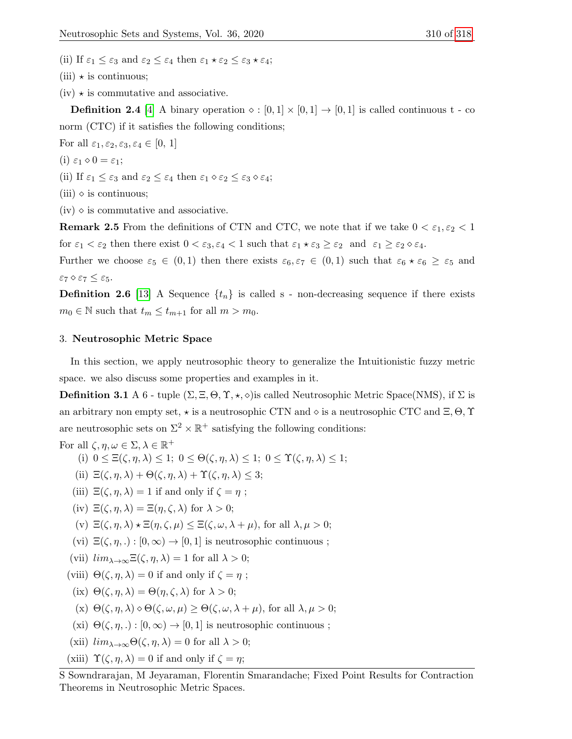- (ii) If  $\varepsilon_1 \leq \varepsilon_3$  and  $\varepsilon_2 \leq \varepsilon_4$  then  $\varepsilon_1 \star \varepsilon_2 \leq \varepsilon_3 \star \varepsilon_4$ ;
- $(iii) \star is$  continuous;
- $(iv) \star$  is commutative and associative.

**Definition 2.4** [\[4\]](#page-9-3) A binary operation  $\diamond : [0,1] \times [0,1] \rightarrow [0,1]$  is called continuous t - co norm (CTC) if it satisfies the following conditions;

For all  $\varepsilon_1, \varepsilon_2, \varepsilon_3, \varepsilon_4 \in [0, 1]$ 

- (i)  $\varepsilon_1 \diamond 0 = \varepsilon_1;$
- (ii) If  $\varepsilon_1 \leq \varepsilon_3$  and  $\varepsilon_2 \leq \varepsilon_4$  then  $\varepsilon_1 \diamond \varepsilon_2 \leq \varepsilon_3 \diamond \varepsilon_4$ ;
- $(iii) \diamond$  is continuous;

 $(iv)$   $\diamond$  is commutative and associative.

**Remark 2.5** From the definitions of CTN and CTC, we note that if we take  $0 < \varepsilon_1, \varepsilon_2 < 1$ for  $\varepsilon_1 < \varepsilon_2$  then there exist  $0 < \varepsilon_3, \varepsilon_4 < 1$  such that  $\varepsilon_1 \star \varepsilon_3 \geq \varepsilon_2$  and  $\varepsilon_1 \geq \varepsilon_2 \diamond \varepsilon_4$ .

Further we choose  $\varepsilon_5 \in (0,1)$  then there exists  $\varepsilon_6, \varepsilon_7 \in (0,1)$  such that  $\varepsilon_6 \star \varepsilon_6 \geq \varepsilon_5$  and  $\varepsilon_7 \diamond \varepsilon_7 \leq \varepsilon_5.$ 

**Definition 2.6** [\[13\]](#page-9-8) A Sequence  $\{t_n\}$  is called s - non-decreasing sequence if there exists  $m_0 \in \mathbb{N}$  such that  $t_m \leq t_{m+1}$  for all  $m > m_0$ .

### 3. Neutrosophic Metric Space

In this section, we apply neutrosophic theory to generalize the Intuitionistic fuzzy metric space. we also discuss some properties and examples in it.

**Definition 3.1** A 6 - tuple  $(\Sigma, \Xi, \Theta, \Upsilon, \star, \diamond)$  is called Neutrosophic Metric Space(NMS), if  $\Sigma$  is an arbitrary non empty set,  $\star$  is a neutrosophic CTN and  $\diamond$  is a neutrosophic CTC and  $\Xi$ ,  $\Theta$ ,  $\Upsilon$ are neutrosophic sets on  $\Sigma^2 \times \mathbb{R}^+$  satisfying the following conditions:

For all 
$$
\zeta, \eta, \omega \in \Sigma, \lambda \in \mathbb{R}^+
$$
  
\n(i)  $0 \leq \Xi(\zeta, \eta, \lambda) \leq 1$ ;  $0 \leq \Theta(\zeta, \eta, \lambda) \leq 1$ ;  $0 \leq \Upsilon(\zeta, \eta, \lambda) \leq 1$ ;  
\n(ii)  $\Xi(\zeta, \eta, \lambda) + \Theta(\zeta, \eta, \lambda) + \Upsilon(\zeta, \eta, \lambda) \leq 3$ ;  
\n(iii)  $\Xi(\zeta, \eta, \lambda) = 1$  if and only if  $\zeta = \eta$ ;  
\n(iv)  $\Xi(\zeta, \eta, \lambda) = \Xi(\eta, \zeta, \lambda)$  for  $\lambda > 0$ ;  
\n(v)  $\Xi(\zeta, \eta, \lambda) \star \Xi(\eta, \zeta, \mu) \leq \Xi(\zeta, \omega, \lambda + \mu)$ , for all  $\lambda, \mu > 0$ ;  
\n(vi)  $\Xi(\zeta, \eta, \lambda) : [0, \infty) \to [0, 1]$  is neutrosophic continuous ;  
\n(vii)  $\lim_{\lambda \to \infty} \Xi(\zeta, \eta, \lambda) = 1$  for all  $\lambda > 0$ ;  
\n(viii)  $\Theta(\zeta, \eta, \lambda) = 0$  if and only if  $\zeta = \eta$ ;  
\n(ix)  $\Theta(\zeta, \eta, \lambda) = \Theta(\eta, \zeta, \lambda)$  for  $\lambda > 0$ ;  
\n(x)  $\Theta(\zeta, \eta, \lambda) \diamond \Theta(\zeta, \omega, \mu) \geq \Theta(\zeta, \omega, \lambda + \mu)$ , for all  $\lambda, \mu > 0$ ;  
\n(xi)  $\Theta(\zeta, \eta, \lambda) : [0, \infty) \to [0, 1]$  is neutrosophic continuous ;  
\n(xii)  $\lim_{\lambda \to \infty} \Theta(\zeta, \eta, \lambda) = 0$  for all  $\lambda > 0$ ;

(xiii)  $\Upsilon(\zeta, \eta, \lambda) = 0$  if and only if  $\zeta = \eta$ ;

S Sowndrarajan, M Jeyaraman, Florentin Smarandache; Fixed Point Results for Contraction Theorems in Neutrosophic Metric Spaces.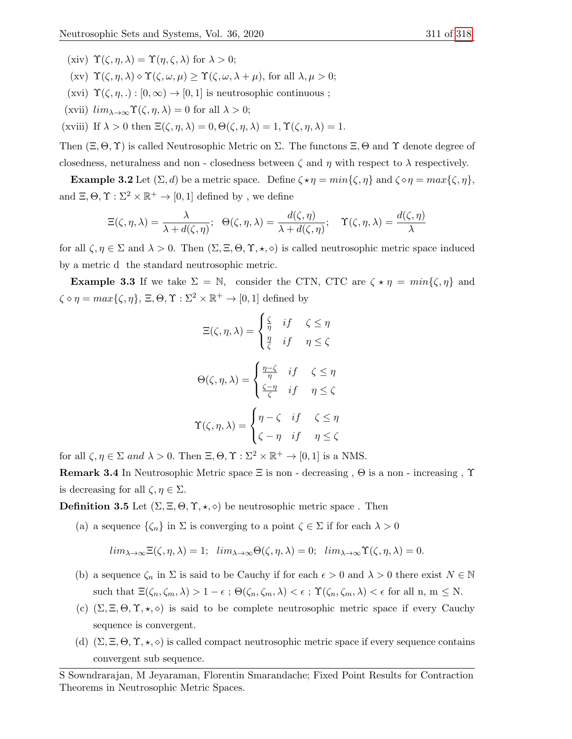- (xiv)  $\Upsilon(\zeta, \eta, \lambda) = \Upsilon(\eta, \zeta, \lambda)$  for  $\lambda > 0$ ;
- (xv)  $\Upsilon(\zeta, \eta, \lambda) \diamond \Upsilon(\zeta, \omega, \mu) \geq \Upsilon(\zeta, \omega, \lambda + \mu)$ , for all  $\lambda, \mu > 0$ ;
- (xvi)  $\Upsilon(\zeta, \eta, .): [0, \infty) \to [0, 1]$  is neutrosophic continuous;
- (xvii)  $\lim_{\lambda \to \infty} \Upsilon(\zeta, \eta, \lambda) = 0$  for all  $\lambda > 0$ ;
- (xviii) If  $\lambda > 0$  then  $\Xi(\zeta, \eta, \lambda) = 0$ ,  $\Theta(\zeta, \eta, \lambda) = 1$ ,  $\Upsilon(\zeta, \eta, \lambda) = 1$ .

Then  $(\Xi, \Theta, \Upsilon)$  is called Neutrosophic Metric on  $\Sigma$ . The functons  $\Xi$ ,  $\Theta$  and  $\Upsilon$  denote degree of closedness, neturalness and non - closedness between  $\zeta$  and  $\eta$  with respect to  $\lambda$  respectively.

**Example 3.2** Let  $(\Sigma, d)$  be a metric space. Define  $\zeta \star \eta = min{\{\zeta, \eta\}}$  and  $\zeta \circ \eta = max{\{\zeta, \eta\}}$ , and  $\Xi$ ,  $\Theta$ ,  $\Upsilon$  :  $\Sigma^2 \times \mathbb{R}^+ \to [0, 1]$  defined by, we define

$$
\Xi(\zeta,\eta,\lambda) = \frac{\lambda}{\lambda + d(\zeta,\eta)}; \quad \Theta(\zeta,\eta,\lambda) = \frac{d(\zeta,\eta)}{\lambda + d(\zeta,\eta)}; \quad \Upsilon(\zeta,\eta,\lambda) = \frac{d(\zeta,\eta)}{\lambda}
$$

for all  $\zeta, \eta \in \Sigma$  and  $\lambda > 0$ . Then  $(\Sigma, \Xi, \Theta, \Upsilon, \star, \diamond)$  is called neutrosophic metric space induced by a metric d the standard neutrosophic metric.

**Example 3.3** If we take  $\Sigma = \mathbb{N}$ , consider the CTN, CTC are  $\zeta \star \eta = min{\zeta, \eta}$  and  $\zeta \diamond \eta = \max{\{\zeta, \eta\}, \Xi, \Theta, \Upsilon : \Sigma^2 \times \mathbb{R}^+ \to [0, 1] \text{ defined by }}$ 

$$
\Xi(\zeta, \eta, \lambda) = \begin{cases} \frac{\zeta}{\eta} & \text{if } \zeta \le \eta \\ \frac{\eta}{\zeta} & \text{if } \eta \le \zeta \end{cases}
$$
\n
$$
\Theta(\zeta, \eta, \lambda) = \begin{cases} \frac{\eta - \zeta}{\eta} & \text{if } \zeta \le \eta \\ \frac{\zeta - \eta}{\zeta} & \text{if } \eta \le \zeta \end{cases}
$$
\n
$$
\Upsilon(\zeta, \eta, \lambda) = \begin{cases} \eta - \zeta & \text{if } \zeta \le \eta \\ \zeta - \eta & \text{if } \eta \le \zeta \end{cases}
$$

for all  $\zeta, \eta \in \Sigma$  and  $\lambda > 0$ . Then  $\Xi, \Theta, \Upsilon : \Sigma^2 \times \mathbb{R}^+ \to [0, 1]$  is a NMS.

**Remark 3.4** In Neutrosophic Metric space  $\Xi$  is non - decreasing ,  $\Theta$  is a non - increasing ,  $\Upsilon$ is decreasing for all  $\zeta, \eta \in \Sigma$ .

**Definition 3.5** Let  $(\Sigma, \Xi, \Theta, \Upsilon, \star, \diamond)$  be neutrosophic metric space. Then

(a) a sequence  $\{\zeta_n\}$  in  $\Sigma$  is converging to a point  $\zeta \in \Sigma$  if for each  $\lambda > 0$ 

$$
lim_{\lambda \to \infty} \Xi(\zeta, \eta, \lambda) = 1; \quad lim_{\lambda \to \infty} \Theta(\zeta, \eta, \lambda) = 0; \quad lim_{\lambda \to \infty} \Upsilon(\zeta, \eta, \lambda) = 0.
$$

- (b) a sequence  $\zeta_n$  in  $\Sigma$  is said to be Cauchy if for each  $\epsilon > 0$  and  $\lambda > 0$  there exist  $N \in \mathbb{N}$ such that  $\Xi(\zeta_n,\zeta_m,\lambda) > 1-\epsilon$ ;  $\Theta(\zeta_n,\zeta_m,\lambda) < \epsilon$ ;  $\Upsilon(\zeta_n,\zeta_m,\lambda) < \epsilon$  for all n,  $m \le N$ .
- (c)  $(\Sigma, \Xi, \Theta, \Upsilon, \star, \diamond)$  is said to be complete neutrosophic metric space if every Cauchy sequence is convergent.
- (d)  $(\Sigma, \Xi, \Theta, \Upsilon, \star, \diamond)$  is called compact neutrosophic metric space if every sequence contains convergent sub sequence.

S Sowndrarajan, M Jeyaraman, Florentin Smarandache; Fixed Point Results for Contraction Theorems in Neutrosophic Metric Spaces.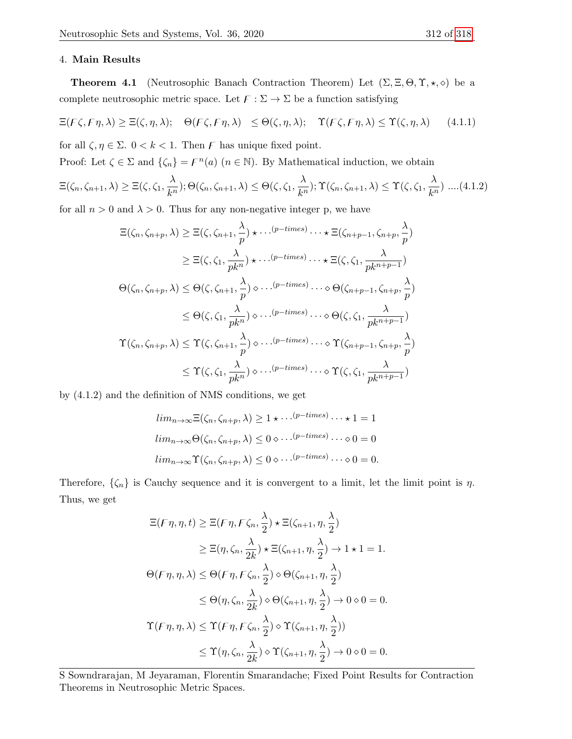### 4. Main Results

**Theorem 4.1** (Neutrosophic Banach Contraction Theorem) Let  $(\Sigma, \Xi, \Theta, \Upsilon, \star, \diamond)$  be a complete neutrosophic metric space. Let  $\mathcal{F} : \Sigma \to \Sigma$  be a function satisfying

$$
\Xi(F\zeta, F\eta, \lambda) \geq \Xi(\zeta, \eta, \lambda); \quad \Theta(F\zeta, F\eta, \lambda) \leq \Theta(\zeta, \eta, \lambda); \quad \Upsilon(F\zeta, F\eta, \lambda) \leq \Upsilon(\zeta, \eta, \lambda) \tag{4.1.1}
$$

for all  $\zeta, \eta \in \Sigma$ .  $0 < k < 1$ . Then F has unique fixed point.

Proof: Let  $\zeta \in \Sigma$  and  $\{\zeta_n\} = \zeta_n$  ( $n \in \mathbb{N}$ ). By Mathematical induction, we obtain

$$
\Xi(\zeta_n, \zeta_{n+1}, \lambda) \geq \Xi(\zeta, \zeta_1, \frac{\lambda}{k^n}); \Theta(\zeta_n, \zeta_{n+1}, \lambda) \leq \Theta(\zeta, \zeta_1, \frac{\lambda}{k^n}); \Upsilon(\zeta_n, \zeta_{n+1}, \lambda) \leq \Upsilon(\zeta, \zeta_1, \frac{\lambda}{k^n}) \dots (4.1.2)
$$

for all  $n > 0$  and  $\lambda > 0$ . Thus for any non-negative integer p, we have

$$
\begin{split}\n\Xi(\zeta_n, \zeta_{n+p}, \lambda) &\geq \Xi(\zeta, \zeta_{n+1}, \frac{\lambda}{p}) \star \cdots^{(p-times)} \cdots \star \Xi(\zeta_{n+p-1}, \zeta_{n+p}, \frac{\lambda}{p}) \\
&\geq \Xi(\zeta, \zeta_1, \frac{\lambda}{pk^n}) \star \cdots^{(p-times)} \cdots \star \Xi(\zeta, \zeta_1, \frac{\lambda}{pk^{n+p-1}}) \\
\Theta(\zeta_n, \zeta_{n+p}, \lambda) &\leq \Theta(\zeta, \zeta_{n+1}, \frac{\lambda}{p}) \diamond \cdots^{(p-times)} \cdots \diamond \Theta(\zeta_{n+p-1}, \zeta_{n+p}, \frac{\lambda}{p}) \\
&\leq \Theta(\zeta, \zeta_1, \frac{\lambda}{pk^n}) \diamond \cdots^{(p-times)} \cdots \diamond \Theta(\zeta, \zeta_1, \frac{\lambda}{pk^{n+p-1}}) \\
\Upsilon(\zeta_n, \zeta_{n+p}, \lambda) &\leq \Upsilon(\zeta, \zeta_{n+1}, \frac{\lambda}{p}) \diamond \cdots^{(p-times)} \cdots \diamond \Upsilon(\zeta_{n+p-1}, \zeta_{n+p}, \frac{\lambda}{p}) \\
&\leq \Upsilon(\zeta, \zeta_1, \frac{\lambda}{pk^n}) \diamond \cdots^{(p-times)} \cdots \diamond \Upsilon(\zeta, \zeta_1, \frac{\lambda}{pk^{n+p-1}})\n\end{split}
$$

by (4.1.2) and the definition of NMS conditions, we get

$$
lim_{n\to\infty} \Xi(\zeta_n, \zeta_{n+p}, \lambda) \ge 1 \star \cdots^{(p-times)} \cdots \star 1 = 1
$$
  

$$
lim_{n\to\infty} \Theta(\zeta_n, \zeta_{n+p}, \lambda) \le 0 \diamond \cdots^{(p-times)} \cdots \diamond 0 = 0
$$
  

$$
lim_{n\to\infty} \Upsilon(\zeta_n, \zeta_{n+p}, \lambda) \le 0 \diamond \cdots^{(p-times)} \cdots \diamond 0 = 0.
$$

Therefore,  $\{\zeta_n\}$  is Cauchy sequence and it is convergent to a limit, let the limit point is  $\eta$ . Thus, we get

$$
\begin{split}\n\Xi(F\eta, \eta, t) &\geq \Xi(F\eta, F\zeta_n, \frac{\lambda}{2}) \star \Xi(\zeta_{n+1}, \eta, \frac{\lambda}{2}) \\
&\geq \Xi(\eta, \zeta_n, \frac{\lambda}{2k}) \star \Xi(\zeta_{n+1}, \eta, \frac{\lambda}{2}) \to 1 \star 1 = 1. \\
\Theta(F\eta, \eta, \lambda) &\leq \Theta(F\eta, F\zeta_n, \frac{\lambda}{2}) \diamond \Theta(\zeta_{n+1}, \eta, \frac{\lambda}{2}) \\
&\leq \Theta(\eta, \zeta_n, \frac{\lambda}{2k}) \diamond \Theta(\zeta_{n+1}, \eta, \frac{\lambda}{2}) \to 0 \diamond 0 = 0. \\
\Upsilon(F\eta, \eta, \lambda) &\leq \Upsilon(F\eta, F\zeta_n, \frac{\lambda}{2}) \diamond \Upsilon(\zeta_{n+1}, \eta, \frac{\lambda}{2})) \\
&\leq \Upsilon(\eta, \zeta_n, \frac{\lambda}{2k}) \diamond \Upsilon(\zeta_{n+1}, \eta, \frac{\lambda}{2}) \to 0 \diamond 0 = 0.\n\end{split}
$$

S Sowndrarajan, M Jeyaraman, Florentin Smarandache; Fixed Point Results for Contraction Theorems in Neutrosophic Metric Spaces.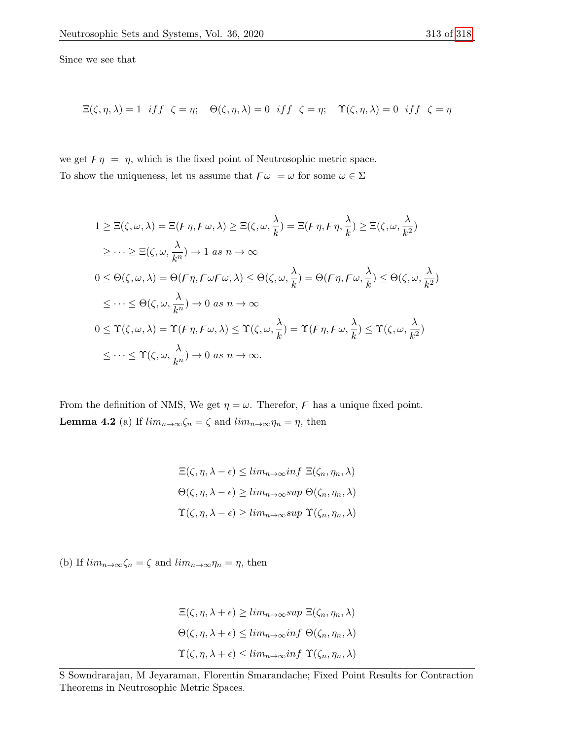Since we see that

$$
\Xi(\zeta,\eta,\lambda)=1 \;\;if \;\; \zeta=\eta; \quad \Theta(\zeta,\eta,\lambda)=0 \;\;if \;\; \zeta=\eta; \quad \Upsilon(\zeta,\eta,\lambda)=0 \;\;if \;\; \zeta=\eta
$$

we get  $F \eta = \eta$ , which is the fixed point of Neutrosophic metric space. To show the uniqueness, let us assume that  $\digamma\omega\ =\omega$  for some  $\omega\in\Sigma$ 

$$
1 \geq \Xi(\zeta, \omega, \lambda) = \Xi(F\eta, F\omega, \lambda) \geq \Xi(\zeta, \omega, \frac{\lambda}{k}) = \Xi(F\eta, F\eta, \frac{\lambda}{k}) \geq \Xi(\zeta, \omega, \frac{\lambda}{k^2})
$$
  
\n
$$
\geq \cdots \geq \Xi(\zeta, \omega, \frac{\lambda}{k^n}) \to 1 \text{ as } n \to \infty
$$
  
\n
$$
0 \leq \Theta(\zeta, \omega, \lambda) = \Theta(F\eta, F\omega F\omega, \lambda) \leq \Theta(\zeta, \omega, \frac{\lambda}{k}) = \Theta(F\eta, F\omega, \frac{\lambda}{k}) \leq \Theta(\zeta, \omega, \frac{\lambda}{k^2})
$$
  
\n
$$
\leq \cdots \leq \Theta(\zeta, \omega, \frac{\lambda}{k^n}) \to 0 \text{ as } n \to \infty
$$
  
\n
$$
0 \leq \Upsilon(\zeta, \omega, \lambda) = \Upsilon(F\eta, F\omega, \lambda) \leq \Upsilon(\zeta, \omega, \frac{\lambda}{k}) = \Upsilon(F\eta, F\omega, \frac{\lambda}{k}) \leq \Upsilon(\zeta, \omega, \frac{\lambda}{k^2})
$$
  
\n
$$
\leq \cdots \leq \Upsilon(\zeta, \omega, \frac{\lambda}{k^n}) \to 0 \text{ as } n \to \infty.
$$

From the definition of NMS, We get  $\eta = \omega$ . Therefor, F has a unique fixed point. **Lemma 4.2** (a) If  $\lim_{n\to\infty} \zeta_n = \zeta$  and  $\lim_{n\to\infty} \eta_n = \eta$ , then

$$
\begin{aligned} \Xi(\zeta,\eta,\lambda-\epsilon) &\leq \lim_{n\to\infty} \inf \Xi(\zeta_n,\eta_n,\lambda) \\ \Theta(\zeta,\eta,\lambda-\epsilon) &\geq \lim_{n\to\infty} \sup \Theta(\zeta_n,\eta_n,\lambda) \\ \Upsilon(\zeta,\eta,\lambda-\epsilon) &\geq \lim_{n\to\infty} \sup \Upsilon(\zeta_n,\eta_n,\lambda) \end{aligned}
$$

(b) If  $\lim_{n\to\infty}\zeta_n=\zeta$  and  $\lim_{n\to\infty}\eta_n=\eta$ , then

$$
\Xi(\zeta, \eta, \lambda + \epsilon) \ge \lim_{n \to \infty} \sup \Xi(\zeta_n, \eta_n, \lambda)
$$
  
 
$$
\Theta(\zeta, \eta, \lambda + \epsilon) \le \lim_{n \to \infty} \inf \Theta(\zeta_n, \eta_n, \lambda)
$$
  
 
$$
\Upsilon(\zeta, \eta, \lambda + \epsilon) \le \lim_{n \to \infty} \inf \Upsilon(\zeta_n, \eta_n, \lambda)
$$

S Sowndrarajan, M Jeyaraman, Florentin Smarandache; Fixed Point Results for Contraction Theorems in Neutrosophic Metric Spaces.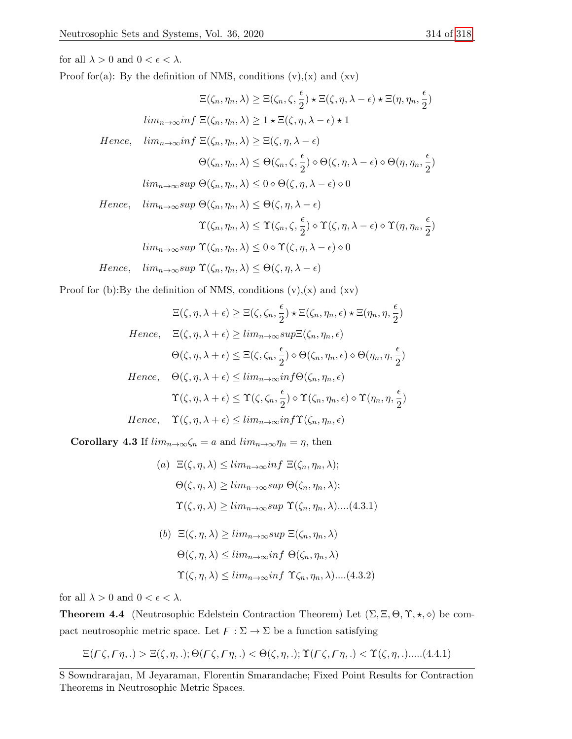for all  $\lambda > 0$  and  $0 < \epsilon < \lambda$ .

Proof for(a): By the definition of NMS, conditions  $(v)$ , $(x)$  and  $(xv)$ 

$$
\Xi(\zeta_n, \eta_n, \lambda) \geq \Xi(\zeta_n, \zeta, \frac{\epsilon}{2}) \star \Xi(\zeta, \eta, \lambda - \epsilon) \star \Xi(\eta, \eta_n, \frac{\epsilon}{2})
$$
  
\n
$$
lim_{n \to \infty} inf \ \Xi(\zeta_n, \eta_n, \lambda) \geq 1 \star \Xi(\zeta, \eta, \lambda - \epsilon) \star 1
$$
  
\nHence, 
$$
lim_{n \to \infty} inf \ \Xi(\zeta_n, \eta_n, \lambda) \geq \Xi(\zeta, \eta, \lambda - \epsilon)
$$
  
\n
$$
\Theta(\zeta_n, \eta_n, \lambda) \leq \Theta(\zeta_n, \zeta, \frac{\epsilon}{2}) \diamond \Theta(\zeta, \eta, \lambda - \epsilon) \diamond \Theta(\eta, \eta_n, \frac{\epsilon}{2})
$$
  
\n
$$
lim_{n \to \infty} sup \ \Theta(\zeta_n, \eta_n, \lambda) \leq 0 \diamond \Theta(\zeta, \eta, \lambda - \epsilon) \diamond 0
$$
  
\nHence, 
$$
lim_{n \to \infty} sup \ \Theta(\zeta_n, \eta_n, \lambda) \leq \Theta(\zeta, \eta, \lambda - \epsilon)
$$
  
\n
$$
\Upsilon(\zeta_n, \eta_n, \lambda) \leq \Upsilon(\zeta_n, \zeta, \frac{\epsilon}{2}) \diamond \Upsilon(\zeta, \eta, \lambda - \epsilon) \diamond \Upsilon(\eta, \eta_n, \frac{\epsilon}{2})
$$
  
\n
$$
lim_{n \to \infty} sup \ \Upsilon(\zeta_n, \eta_n, \lambda) \leq 0 \diamond \Upsilon(\zeta, \eta, \lambda - \epsilon) \diamond 0
$$
  
\nHence, 
$$
lim_{n \to \infty} sup \ \Upsilon(\zeta_n, \eta_n, \lambda) \leq \Theta(\zeta, \eta, \lambda - \epsilon)
$$

Proof for (b):By the definition of NMS, conditions  $(v)$ , $(x)$  and  $(xv)$ 

$$
\Xi(\zeta, \eta, \lambda + \epsilon) \geq \Xi(\zeta, \zeta_n, \frac{\epsilon}{2}) \star \Xi(\zeta_n, \eta_n, \epsilon) \star \Xi(\eta_n, \eta, \frac{\epsilon}{2})
$$
  
Hence,  $\Xi(\zeta, \eta, \lambda + \epsilon) \geq \lim_{n \to \infty} \sup \Xi(\zeta_n, \eta_n, \epsilon)$   
 $\Theta(\zeta, \eta, \lambda + \epsilon) \leq \Xi(\zeta, \zeta_n, \frac{\epsilon}{2}) \diamond \Theta(\zeta_n, \eta_n, \epsilon) \diamond \Theta(\eta_n, \eta, \frac{\epsilon}{2})$   
Hence,  $\Theta(\zeta, \eta, \lambda + \epsilon) \leq \lim_{n \to \infty} \inf \Theta(\zeta_n, \eta_n, \epsilon)$   
 $\Upsilon(\zeta, \eta, \lambda + \epsilon) \leq \Upsilon(\zeta, \zeta_n, \frac{\epsilon}{2}) \diamond \Upsilon(\zeta_n, \eta_n, \epsilon) \diamond \Upsilon(\eta_n, \eta, \frac{\epsilon}{2})$ 

$$
Hence, \quad \Upsilon(\zeta, \eta, \lambda + \epsilon) \leq \lim_{n \to \infty} \inf \Upsilon(\zeta_n, \eta_n, \epsilon)
$$

**Corollary 4.3** If  $\lim_{n\to\infty} \zeta_n = a$  and  $\lim_{n\to\infty} \eta_n = \eta$ , then

(a)  $\Xi(\zeta, \eta, \lambda) \leq \lim_{n \to \infty} \inf \Xi(\zeta_n, \eta_n, \lambda);$  $\Theta(\zeta, \eta, \lambda) \geq \lim_{n \to \infty} \sup \Theta(\zeta_n, \eta_n, \lambda);$  $\Upsilon(\zeta, \eta, \lambda) \geq \lim_{n \to \infty} \sup \Upsilon(\zeta_n, \eta_n, \lambda) \dots (4.3.1)$ 

(b) 
$$
\Xi(\zeta, \eta, \lambda) \ge \lim_{n \to \infty} \sup \Xi(\zeta_n, \eta_n, \lambda)
$$
  
\n $\Theta(\zeta, \eta, \lambda) \le \lim_{n \to \infty} \inf \Theta(\zeta_n, \eta_n, \lambda)$   
\n $\Upsilon(\zeta, \eta, \lambda) \le \lim_{n \to \infty} \inf \Upsilon\zeta_n, \eta_n, \lambda) \dots (4.3.2)$ 

for all  $\lambda > 0$  and  $0 < \epsilon < \lambda$ .

**Theorem 4.4** (Neutrosophic Edelstein Contraction Theorem) Let  $(\Sigma, \Xi, \Theta, \Upsilon, \star, \diamond)$  be compact neutrosophic metric space. Let  $\mathcal{F} : \Sigma \to \Sigma$  be a function satisfying

 $\Xi(F\zeta, F\eta, .) > \Xi(\zeta, \eta, .); \Theta(F\zeta, F\eta, .) < \Theta(\zeta, \eta, .); \Upsilon(F\zeta, F\eta, .) < \Upsilon(\zeta, \eta, .)$ .....(4.4.1)

S Sowndrarajan, M Jeyaraman, Florentin Smarandache; Fixed Point Results for Contraction Theorems in Neutrosophic Metric Spaces.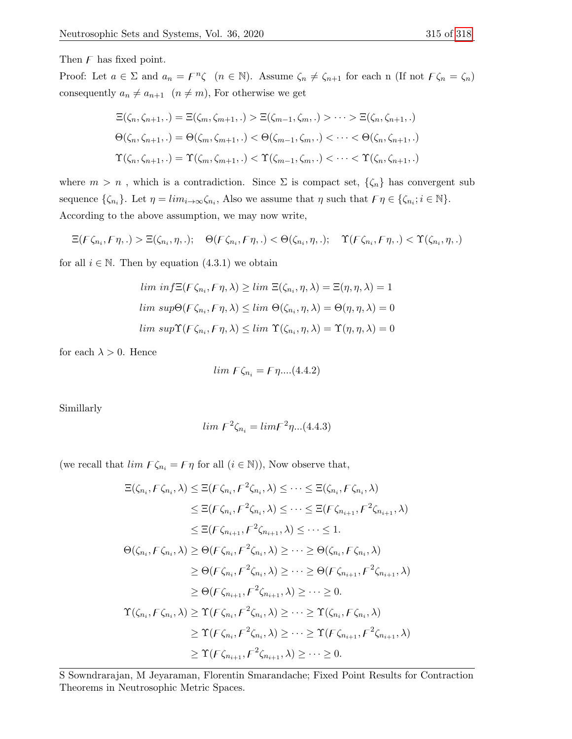Then  $F$  has fixed point.

Proof: Let  $a \in \Sigma$  and  $a_n = F^n \zeta$   $(n \in \mathbb{N})$ . Assume  $\zeta_n \neq \zeta_{n+1}$  for each n (If not  $F \zeta_n = \zeta_n$ ) consequently  $a_n \neq a_{n+1}$   $(n \neq m)$ , For otherwise we get

$$
\begin{aligned} \Xi(\zeta_n,\zeta_{n+1},.) &= \Xi(\zeta_m,\zeta_{m+1},.) > \Xi(\zeta_{m-1},\zeta_m,.) > \dots > \Xi(\zeta_n,\zeta_{n+1},.)\\ \Theta(\zeta_n,\zeta_{n+1},.) &= \Theta(\zeta_m,\zeta_{m+1},.) < \Theta(\zeta_{m-1},\zeta_m,.) < \dots < \Theta(\zeta_n,\zeta_{n+1},.)\\ \Upsilon(\zeta_n,\zeta_{n+1},.) &= \Upsilon(\zeta_m,\zeta_{m+1},.) < \Upsilon(\zeta_{m-1},\zeta_m,.) < \dots < \Upsilon(\zeta_n,\zeta_{n+1},.) \end{aligned}
$$

where  $m > n$ , which is a contradiction. Since  $\Sigma$  is compact set,  $\{\zeta_n\}$  has convergent sub sequence  $\{\zeta_{n_i}\}\$ . Let  $\eta = \lim_{i \to \infty} \zeta_{n_i}$ , Also we assume that  $\eta$  such that  $\mathcal{F}\eta \in \{\zeta_{n_i}; i \in \mathbb{N}\}\$ . According to the above assumption, we may now write,

$$
\Xi(F\zeta_{n_i}, F\eta,.) > \Xi(\zeta_{n_i}, \eta,.); \quad \Theta(F\zeta_{n_i}, F\eta,.) < \Theta(\zeta_{n_i}, \eta,.); \quad \Upsilon(F\zeta_{n_i}, F\eta,.) < \Upsilon(\zeta_{n_i}, \eta,.)
$$

for all  $i \in \mathbb{N}$ . Then by equation (4.3.1) we obtain

$$
\lim_{n \to \infty} \inf \Xi(F\zeta_{n_i}, F\eta, \lambda) \ge \lim_{n \to \infty} \Xi(\zeta_{n_i}, \eta, \lambda) = \Xi(\eta, \eta, \lambda) = 1
$$
  

$$
\lim_{n \to \infty} \sup \Theta(F\zeta_{n_i}, F\eta, \lambda) \le \lim_{n \to \infty} \Theta(\zeta_{n_i}, \eta, \lambda) = \Theta(\eta, \eta, \lambda) = 0
$$
  

$$
\lim_{n \to \infty} \sup \Upsilon(F\zeta_{n_i}, F\eta, \lambda) \le \lim_{n \to \infty} \Upsilon(\zeta_{n_i}, \eta, \lambda) = \Upsilon(\eta, \eta, \lambda) = 0
$$

for each  $\lambda > 0$ . Hence

$$
lim F\zeta_{n_i}=F\eta....(4.4.2)
$$

Simillarly

$$
lim F^2 \zeta_{n_i} = lim F^2 \eta...(4.4.3)
$$

(we recall that  $\lim_{i \to \infty} \mathcal{F}\zeta_{n_i} = \mathcal{F}\eta$  for all  $(i \in \mathbb{N})$ ), Now observe that,

Ξ(ζn<sup>i</sup> , zζn<sup>i</sup> , λ) ≤ Ξ(zζn<sup>i</sup> , z 2 ζni , λ) ≤ · · · ≤ Ξ(ζn<sup>i</sup> , zζn<sup>i</sup> , λ) ≤ Ξ(zζn<sup>i</sup> , z 2 ζni , λ) ≤ · · · ≤ Ξ(zζni+1 , z 2 ζni+1 , λ) ≤ Ξ(zζni+1 , z 2 ζni+1 , λ) ≤ · · · ≤ 1. Θ(ζn<sup>i</sup> , zζn<sup>i</sup> , λ) ≥ Θ(zζn<sup>i</sup> , z 2 ζni , λ) ≥ · · · ≥ Θ(ζn<sup>i</sup> , zζn<sup>i</sup> , λ) ≥ Θ(zζn<sup>i</sup> , z 2 ζni , λ) ≥ · · · ≥ Θ(zζni+1 , z 2 ζni+1 , λ) ≥ Θ(zζni+1 , z 2 ζni+1 , λ) ≥ · · · ≥ 0. Υ(ζn<sup>i</sup> , zζn<sup>i</sup> , λ) ≥ Υ(zζn<sup>i</sup> , z 2 ζni , λ) ≥ · · · ≥ Υ(ζn<sup>i</sup> , zζn<sup>i</sup> , λ) ≥ Υ(zζn<sup>i</sup> , z 2 ζni , λ) ≥ · · · ≥ Υ(zζni+1 , z 2 ζni+1 , λ) ≥ Υ(zζni+1 , z 2 ζni+1 , λ) ≥ · · · ≥ 0.

S Sowndrarajan, M Jeyaraman, Florentin Smarandache; Fixed Point Results for Contraction Theorems in Neutrosophic Metric Spaces.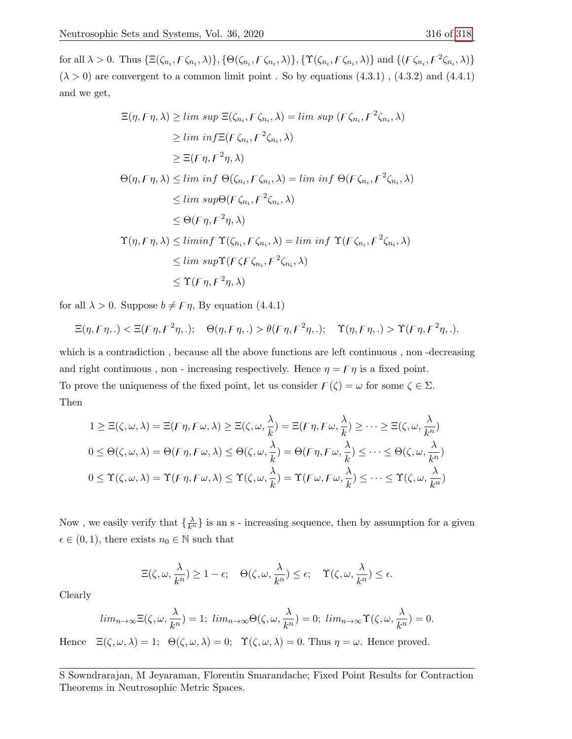for all  $\lambda > 0$ . Thus  $\{\Xi(\zeta_{n_i}, \digamma \zeta_{n_i}, \lambda)\}, \{\Theta(\zeta_{n_i}, \digamma \zeta_{n_i}, \lambda)\}, \{\Upsilon(\zeta_{n_i}, \digamma \zeta_{n_i}, \lambda)\}\$  and  $\{\left(\digamma \zeta_{n_i}, \digamma^2 \zeta_{n_i}, \lambda\right)\}$  $(\lambda > 0)$  are convergent to a common limit point. So by equations  $(4.3.1)$ ,  $(4.3.2)$  and  $(4.4.1)$ and we get,

$$
\begin{aligned}\n\Xi(\eta, F\eta, \lambda) &\geq \limsup \Xi(\zeta_{n_i}, F\zeta_{n_i}, \lambda) = \limsup \ (F\zeta_{n_i}, F^2\zeta_{n_i}, \lambda) \\
&\geq \liminf \Xi(F\zeta_{n_i}, F^2\zeta_{n_i}, \lambda) \\
&\geq \Xi(F\eta, F^2\eta, \lambda) \\
\Theta(\eta, F\eta, \lambda) &\leq \liminf \Theta(\zeta_{n_i}, F\zeta_{n_i}, \lambda) = \liminf \Theta(F\zeta_{n_i}, F^2\zeta_{n_i}, \lambda) \\
&\leq \limsup \Theta(F\zeta_{n_i}, F^2\zeta_{n_i}, \lambda) \\
&\leq \Theta(F\eta, F^2\eta, \lambda) \\
\Upsilon(\eta, F\eta, \lambda) &\leq \liminf \ \Upsilon(\zeta_{n_i}, F\zeta_{n_i}, \lambda) = \liminf \ \Upsilon(F\zeta_{n_i}, F^2\zeta_{n_i}, \lambda) \\
&\leq \limsup \Upsilon(F\zeta F\zeta_{n_i}, F^2\zeta_{n_i}, \lambda) \\
&\leq \Upsilon(F\eta, F^2\eta, \lambda)\n\end{aligned}
$$

for all  $\lambda > 0$ . Suppose  $b \neq F\eta$ , By equation (4.4.1)

$$
\Xi(\eta, F\eta, .) < \Xi(F\eta, F^2\eta, .); \quad \Theta(\eta, F\eta, .) > \theta(F\eta, F^2\eta, .); \quad \Upsilon(\eta, F\eta, .) > \Upsilon(F\eta, F^2\eta, .).
$$

which is a contradiction , because all the above functions are left continuous , non -decreasing and right continuous, non - increasing respectively. Hence  $\eta = \mathcal{F}\eta$  is a fixed point. To prove the uniqueness of the fixed point, let us consider  $\mathcal{F}(\zeta) = \omega$  for some  $\zeta \in \Sigma$ . Then

$$
1 \geq \Xi(\zeta, \omega, \lambda) = \Xi(F\eta, F\omega, \lambda) \geq \Xi(\zeta, \omega, \frac{\lambda}{k}) = \Xi(F\eta, F\omega, \frac{\lambda}{k}) \geq \cdots \geq \Xi(\zeta, \omega, \frac{\lambda}{k^n})
$$
  

$$
0 \leq \Theta(\zeta, \omega, \lambda) = \Theta(F\eta, F\omega, \lambda) \leq \Theta(\zeta, \omega, \frac{\lambda}{k}) = \Theta(F\eta, F\omega, \frac{\lambda}{k}) \leq \cdots \leq \Theta(\zeta, \omega, \frac{\lambda}{k^n})
$$
  

$$
0 \leq \Upsilon(\zeta, \omega, \lambda) = \Upsilon(F\eta, F\omega, \lambda) \leq \Upsilon(\zeta, \omega, \frac{\lambda}{k}) = \Upsilon(F\omega, F\omega, \frac{\lambda}{k}) \leq \cdots \leq \Upsilon(\zeta, \omega, \frac{\lambda}{k^n})
$$

Now, we easily verify that  $\{\frac{\lambda}{k^n}\}$  is an s - increasing sequence, then by assumption for a given  $\epsilon \in (0, 1)$ , there exists  $n_0 \in \mathbb{N}$  such that

$$
\Xi(\zeta,\omega,\frac{\lambda}{k^n})\geq 1-\epsilon; \quad \Theta(\zeta,\omega,\frac{\lambda}{k^n})\leq \epsilon; \quad \Upsilon(\zeta,\omega,\frac{\lambda}{k^n})\leq \epsilon.
$$

Clearly

$$
lim_{n\to\infty}\Xi(\zeta,\omega,\frac{\lambda}{k^n})=1; lim_{n\to\infty}\Theta(\zeta,\omega,\frac{\lambda}{k^n})=0; lim_{n\to\infty}\Upsilon(\zeta,\omega,\frac{\lambda}{k^n})=0.
$$

Hence  $\Xi(\zeta,\omega,\lambda) = 1; \Theta(\zeta,\omega,\lambda) = 0; \Upsilon(\zeta,\omega,\lambda) = 0.$  Thus  $\eta = \omega$ . Hence proved.

S Sowndrarajan, M Jeyaraman, Florentin Smarandache; Fixed Point Results for Contraction Theorems in Neutrosophic Metric Spaces.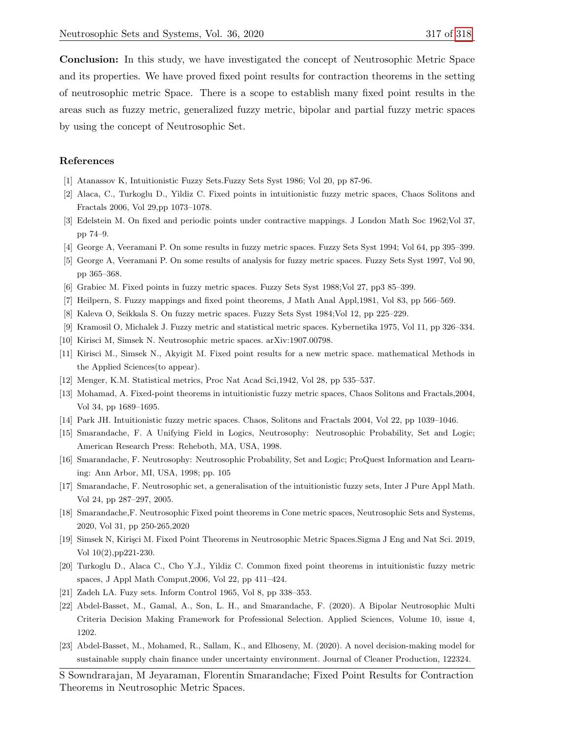Conclusion: In this study, we have investigated the concept of Neutrosophic Metric Space and its properties. We have proved fixed point results for contraction theorems in the setting of neutrosophic metric Space. There is a scope to establish many fixed point results in the areas such as fuzzy metric, generalized fuzzy metric, bipolar and partial fuzzy metric spaces by using the concept of Neutrosophic Set.

#### References

- [1] Atanassov K, Intuitionistic Fuzzy Sets.Fuzzy Sets Syst 1986; Vol 20, pp 87-96.
- <span id="page-9-7"></span>[2] Alaca, C., Turkoglu D., Yildiz C. Fixed points in intuitionistic fuzzy metric spaces, Chaos Solitons and Fractals 2006, Vol 29,pp 1073–1078.
- [3] Edelstein M. On fixed and periodic points under contractive mappings. J London Math Soc 1962;Vol 37, pp 74–9.
- <span id="page-9-3"></span>[4] George A, Veeramani P. On some results in fuzzy metric spaces. Fuzzy Sets Syst 1994; Vol 64, pp 395–399.
- <span id="page-9-4"></span>[5] George A, Veeramani P. On some results of analysis for fuzzy metric spaces. Fuzzy Sets Syst 1997, Vol 90, pp 365–368.
- <span id="page-9-14"></span>[6] Grabiec M. Fixed points in fuzzy metric spaces. Fuzzy Sets Syst 1988;Vol 27, pp3 85–399.
- <span id="page-9-5"></span>[7] Heilpern, S. Fuzzy mappings and fixed point theorems, J Math Anal Appl,1981, Vol 83, pp 566–569.
- <span id="page-9-2"></span>[8] Kaleva O, Seikkala S. On fuzzy metric spaces. Fuzzy Sets Syst 1984;Vol 12, pp 225–229.
- <span id="page-9-1"></span>[9] Kramosil O, Michalek J. Fuzzy metric and statistical metric spaces. Kybernetika 1975, Vol 11, pp 326–334.
- <span id="page-9-12"></span>[10] Kirisci M, Simsek N. Neutrosophic metric spaces. arXiv:1907.00798.
- <span id="page-9-13"></span>[11] Kirisci M., Simsek N., Akyigit M. Fixed point results for a new metric space. mathematical Methods in the Applied Sciences(to appear).
- [12] Menger, K.M. Statistical metrics, Proc Nat Acad Sci,1942, Vol 28, pp 535–537.
- <span id="page-9-8"></span>[13] Mohamad, A. Fixed-point theorems in intuitionistic fuzzy metric spaces, Chaos Solitons and Fractals,2004, Vol 34, pp 1689–1695.
- <span id="page-9-6"></span>[14] Park JH. Intuitionistic fuzzy metric spaces. Chaos, Solitons and Fractals 2004, Vol 22, pp 1039–1046.
- [15] Smarandache, F. A Unifying Field in Logics, Neutrosophy: Neutrosophic Probability, Set and Logic; American Research Press: Reheboth, MA, USA, 1998.
- <span id="page-9-10"></span>[16] Smarandache, F. Neutrosophy: Neutrosophic Probability, Set and Logic; ProQuest Information and Learning: Ann Arbor, MI, USA, 1998; pp. 105
- <span id="page-9-15"></span>[17] Smarandache, F. Neutrosophic set, a generalisation of the intuitionistic fuzzy sets, Inter J Pure Appl Math. Vol 24, pp 287–297, 2005.
- [18] Smarandache,F. Neutrosophic Fixed point theorems in Cone metric spaces, Neutrosophic Sets and Systems, 2020, Vol 31, pp 250-265,2020
- <span id="page-9-9"></span>[19] Simsek N, Kiri¸sci M. Fixed Point Theorems in Neutrosophic Metric Spaces.Sigma J Eng and Nat Sci. 2019, Vol 10(2),pp221-230.
- <span id="page-9-0"></span>[20] Turkoglu D., Alaca C., Cho Y.J., Yildiz C. Common fixed point theorems in intuitionistic fuzzy metric spaces, J Appl Math Comput,2006, Vol 22, pp 411–424.
- [21] Zadeh LA. Fuzy sets. Inform Control 1965, Vol 8, pp 338–353.
- <span id="page-9-11"></span>[22] Abdel-Basset, M., Gamal, A., Son, L. H., and Smarandache, F. (2020). A Bipolar Neutrosophic Multi Criteria Decision Making Framework for Professional Selection. Applied Sciences, Volume 10, issue 4, 1202.
- [23] Abdel-Basset, M., Mohamed, R., Sallam, K., and Elhoseny, M. (2020). A novel decision-making model for sustainable supply chain finance under uncertainty environment. Journal of Cleaner Production, 122324.

S Sowndrarajan, M Jeyaraman, Florentin Smarandache; Fixed Point Results for Contraction Theorems in Neutrosophic Metric Spaces.